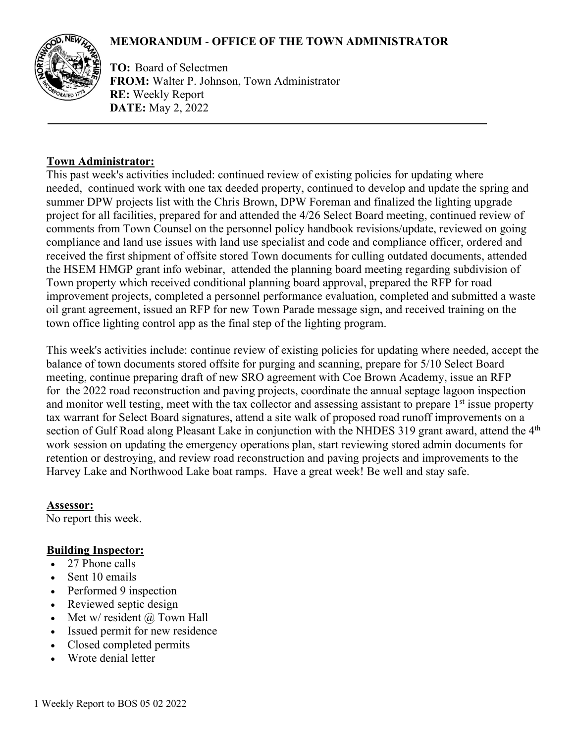# **MEMORANDUM** - **OFFICE OF THE TOWN ADMINISTRATOR**



**TO:** Board of Selectmen **FROM:** Walter P. Johnson, Town Administrator **RE:** Weekly Report **DATE:** May 2, 2022

### **Town Administrator:**

This past week's activities included: continued review of existing policies for updating where needed, continued work with one tax deeded property, continued to develop and update the spring and summer DPW projects list with the Chris Brown, DPW Foreman and finalized the lighting upgrade project for all facilities, prepared for and attended the 4/26 Select Board meeting, continued review of comments from Town Counsel on the personnel policy handbook revisions/update, reviewed on going compliance and land use issues with land use specialist and code and compliance officer, ordered and received the first shipment of offsite stored Town documents for culling outdated documents, attended the HSEM HMGP grant info webinar, attended the planning board meeting regarding subdivision of Town property which received conditional planning board approval, prepared the RFP for road improvement projects, completed a personnel performance evaluation, completed and submitted a waste oil grant agreement, issued an RFP for new Town Parade message sign, and received training on the town office lighting control app as the final step of the lighting program.

This week's activities include: continue review of existing policies for updating where needed, accept the balance of town documents stored offsite for purging and scanning, prepare for 5/10 Select Board meeting, continue preparing draft of new SRO agreement with Coe Brown Academy, issue an RFP for the 2022 road reconstruction and paving projects, coordinate the annual septage lagoon inspection and monitor well testing, meet with the tax collector and assessing assistant to prepare 1<sup>st</sup> issue property tax warrant for Select Board signatures, attend a site walk of proposed road runoff improvements on a section of Gulf Road along Pleasant Lake in conjunction with the NHDES 319 grant award, attend the 4<sup>th</sup> work session on updating the emergency operations plan, start reviewing stored admin documents for retention or destroying, and review road reconstruction and paving projects and improvements to the Harvey Lake and Northwood Lake boat ramps. Have a great week! Be well and stay safe.

**Assessor:** No report this week.

### **Building Inspector:**

- 27 Phone calls
- Sent 10 emails
- Performed 9 inspection
- Reviewed septic design
- Met w/ resident @ Town Hall
- Issued permit for new residence
- Closed completed permits
- Wrote denial letter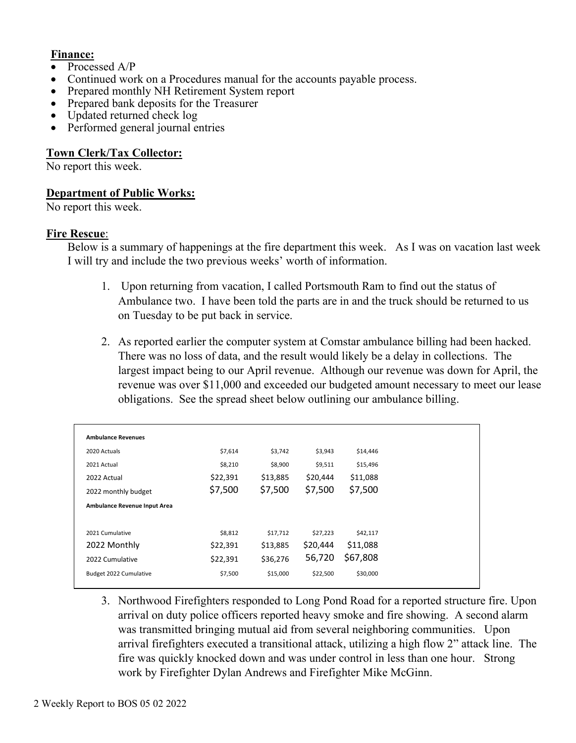### **Finance:**

- Processed A/P
- Continued work on a Procedures manual for the accounts payable process.
- Prepared monthly NH Retirement System report
- Prepared bank deposits for the Treasurer
- Updated returned check log
- Performed general journal entries

### **Town Clerk/Tax Collector:**

No report this week.

### **Department of Public Works:**

No report this week.

### **Fire Rescue**:

Below is a summary of happenings at the fire department this week. As I was on vacation last week I will try and include the two previous weeks' worth of information.

- 1. Upon returning from vacation, I called Portsmouth Ram to find out the status of Ambulance two. I have been told the parts are in and the truck should be returned to us on Tuesday to be put back in service.
- 2. As reported earlier the computer system at Comstar ambulance billing had been hacked. There was no loss of data, and the result would likely be a delay in collections. The largest impact being to our April revenue. Although our revenue was down for April, the revenue was over \$11,000 and exceeded our budgeted amount necessary to meet our lease obligations. See the spread sheet below outlining our ambulance billing.

| <b>Ambulance Revenues</b>    |          |          |          |          |
|------------------------------|----------|----------|----------|----------|
| 2020 Actuals                 | \$7,614  | \$3,742  | \$3,943  | \$14,446 |
| 2021 Actual                  | \$8,210  | \$8,900  | \$9,511  | \$15,496 |
| 2022 Actual                  | \$22,391 | \$13,885 | \$20,444 | \$11,088 |
| 2022 monthly budget          | \$7,500  | \$7,500  | \$7,500  | \$7,500  |
| Ambulance Revenue Input Area |          |          |          |          |
|                              |          |          |          |          |
| 2021 Cumulative              | \$8,812  | \$17,712 | \$27,223 | \$42,117 |
| 2022 Monthly                 | \$22,391 | \$13,885 | \$20,444 | \$11,088 |
| 2022 Cumulative              | \$22,391 | \$36,276 | 56,720   | \$67,808 |
| Budget 2022 Cumulative       | \$7,500  | \$15,000 | \$22,500 | \$30,000 |
|                              |          |          |          |          |

3. Northwood Firefighters responded to Long Pond Road for a reported structure fire. Upon arrival on duty police officers reported heavy smoke and fire showing. A second alarm was transmitted bringing mutual aid from several neighboring communities. Upon arrival firefighters executed a transitional attack, utilizing a high flow 2" attack line. The fire was quickly knocked down and was under control in less than one hour. Strong work by Firefighter Dylan Andrews and Firefighter Mike McGinn.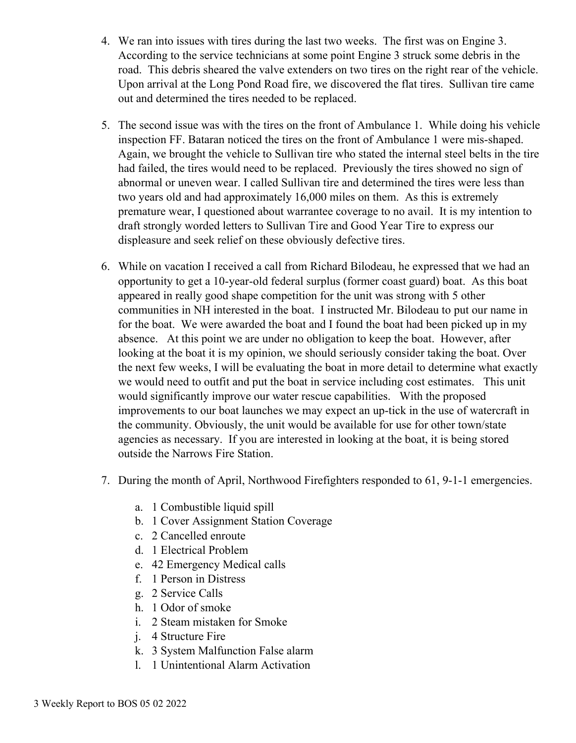- 4. We ran into issues with tires during the last two weeks. The first was on Engine 3. According to the service technicians at some point Engine 3 struck some debris in the road. This debris sheared the valve extenders on two tires on the right rear of the vehicle. Upon arrival at the Long Pond Road fire, we discovered the flat tires. Sullivan tire came out and determined the tires needed to be replaced.
- 5. The second issue was with the tires on the front of Ambulance 1. While doing his vehicle inspection FF. Bataran noticed the tires on the front of Ambulance 1 were mis-shaped. Again, we brought the vehicle to Sullivan tire who stated the internal steel belts in the tire had failed, the tires would need to be replaced. Previously the tires showed no sign of abnormal or uneven wear. I called Sullivan tire and determined the tires were less than two years old and had approximately 16,000 miles on them. As this is extremely premature wear, I questioned about warrantee coverage to no avail. It is my intention to draft strongly worded letters to Sullivan Tire and Good Year Tire to express our displeasure and seek relief on these obviously defective tires.
- 6. While on vacation I received a call from Richard Bilodeau, he expressed that we had an opportunity to get a 10-year-old federal surplus (former coast guard) boat. As this boat appeared in really good shape competition for the unit was strong with 5 other communities in NH interested in the boat. I instructed Mr. Bilodeau to put our name in for the boat. We were awarded the boat and I found the boat had been picked up in my absence. At this point we are under no obligation to keep the boat. However, after looking at the boat it is my opinion, we should seriously consider taking the boat. Over the next few weeks, I will be evaluating the boat in more detail to determine what exactly we would need to outfit and put the boat in service including cost estimates. This unit would significantly improve our water rescue capabilities. With the proposed improvements to our boat launches we may expect an up-tick in the use of watercraft in the community. Obviously, the unit would be available for use for other town/state agencies as necessary. If you are interested in looking at the boat, it is being stored outside the Narrows Fire Station.
- 7. During the month of April, Northwood Firefighters responded to 61, 9-1-1 emergencies.
	- a. 1 Combustible liquid spill
	- b. 1 Cover Assignment Station Coverage
	- c. 2 Cancelled enroute
	- d. 1 Electrical Problem
	- e. 42 Emergency Medical calls
	- f. 1 Person in Distress
	- g. 2 Service Calls
	- h. 1 Odor of smoke
	- i. 2 Steam mistaken for Smoke
	- j. 4 Structure Fire
	- k. 3 System Malfunction False alarm
	- l. 1 Unintentional Alarm Activation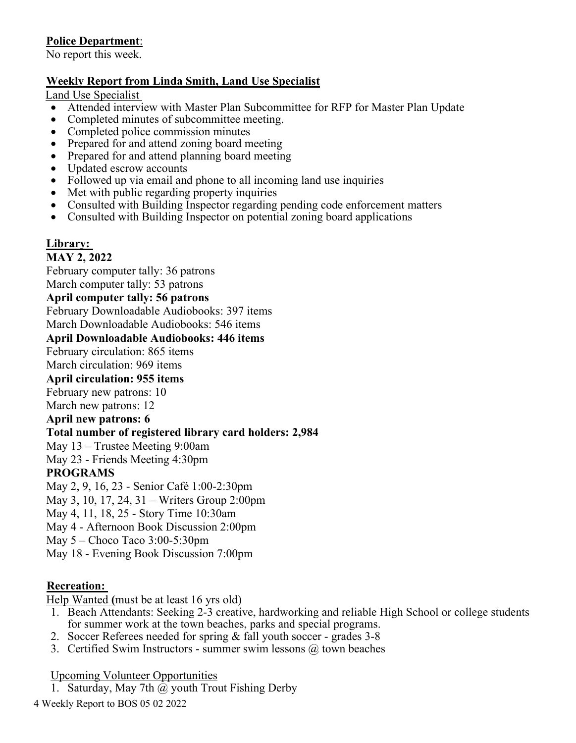# **Police Department**:

No report this week.

## **Weekly Report from Linda Smith, Land Use Specialist**

Land Use Specialist

- Attended interview with Master Plan Subcommittee for RFP for Master Plan Update
- Completed minutes of subcommittee meeting.
- Completed police commission minutes
- Prepared for and attend zoning board meeting
- Prepared for and attend planning board meeting
- Updated escrow accounts
- Followed up via email and phone to all incoming land use inquiries
- Met with public regarding property inquiries
- Consulted with Building Inspector regarding pending code enforcement matters
- Consulted with Building Inspector on potential zoning board applications

# **Library:**

## **MAY 2, 2022**

February computer tally: 36 patrons

March computer tally: 53 patrons

**April computer tally: 56 patrons** 

February Downloadable Audiobooks: 397 items

March Downloadable Audiobooks: 546 items

### **April Downloadable Audiobooks: 446 items**

February circulation: 865 items

March circulation: 969 items

## **April circulation: 955 items**

February new patrons: 10

March new patrons: 12

### **April new patrons: 6**

## **Total number of registered library card holders: 2,984**

May 13 – Trustee Meeting 9:00am

May 23 - Friends Meeting 4:30pm

# **PROGRAMS**

May 2, 9, 16, 23 - Senior Café 1:00-2:30pm

May 3, 10, 17, 24, 31 – Writers Group 2:00pm

May 4, 11, 18, 25 - Story Time 10:30am

May 4 - Afternoon Book Discussion 2:00pm

May 5 – Choco Taco 3:00-5:30pm

May 18 - Evening Book Discussion 7:00pm

# **Recreation:**

Help Wanted **(**must be at least 16 yrs old)

- 1. Beach Attendants: Seeking 2-3 creative, hardworking and reliable High School or college students for summer work at the town beaches, parks and special programs.
- 2. Soccer Referees needed for spring & fall youth soccer grades 3-8
- 3. Certified Swim Instructors summer swim lessons @ town beaches

Upcoming Volunteer Opportunities

1. Saturday, May 7th @ youth Trout Fishing Derby